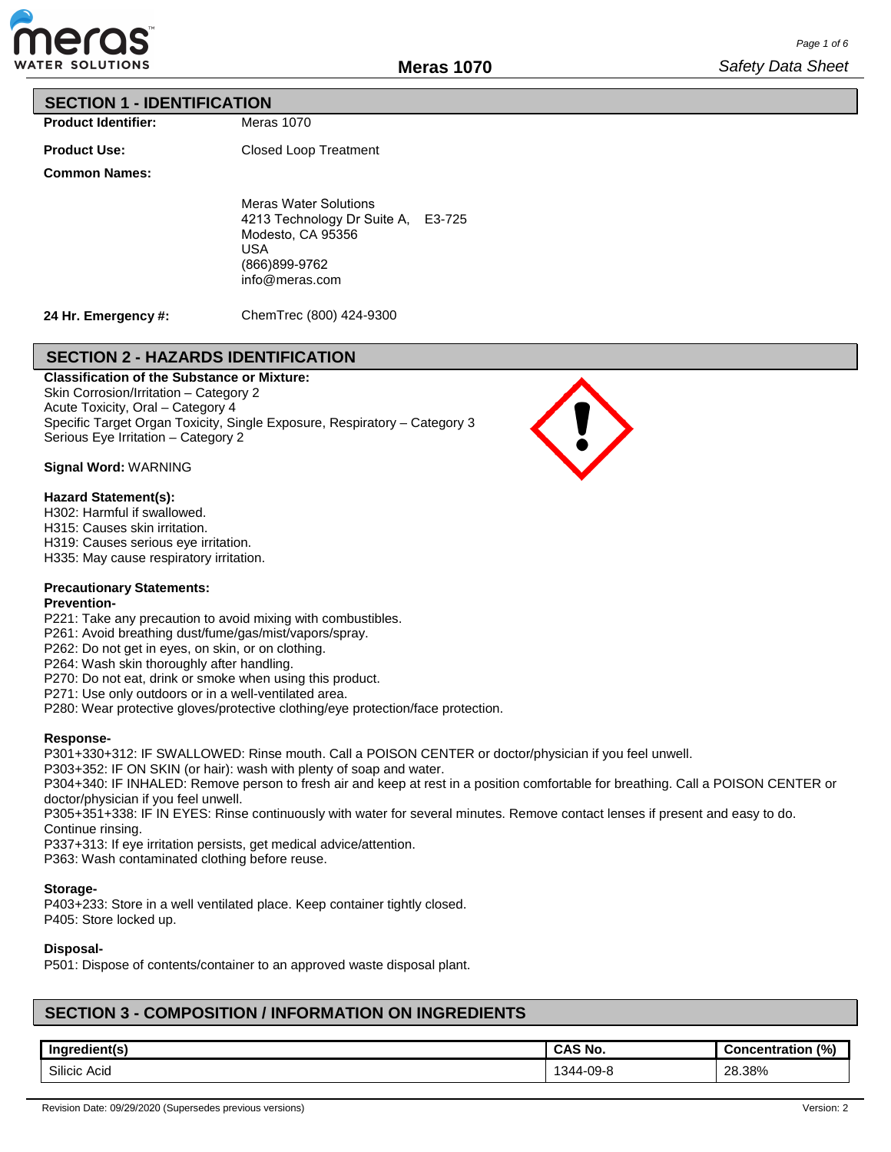

## **SECTION 1 - IDENTIFICATION**

**Product Identifier:**

**Product Use:**

Closed Loop Treatment

Meras 1070

**Common Names:**

Meras Water Solutions 4213 Technology Dr Suite A, E3-725 Modesto, CA 95356 USA (866)899-9762 info@meras.com

**24 Hr. Emergency #:**

ChemTrec (800) 424-9300

## **SECTION 2 - HAZARDS IDENTIFICATION**

**Classification of the Substance or Mixture:** Skin Corrosion/Irritation – Category 2 Acute Toxicity, Oral – Category 4 Specific Target Organ Toxicity, Single Exposure, Respiratory – Category 3 Serious Eye Irritation – Category 2



### **Signal Word:** WARNING

### **Hazard Statement(s):**

H302: Harmful if swallowed.

H315: Causes skin irritation.

H319: Causes serious eye irritation.

H335: May cause respiratory irritation.

### **Precautionary Statements:**

### **Prevention-**

P221: Take any precaution to avoid mixing with combustibles.

P261: Avoid breathing dust/fume/gas/mist/vapors/spray.

P262: Do not get in eyes, on skin, or on clothing.

P264: Wash skin thoroughly after handling.

P270: Do not eat, drink or smoke when using this product.

P271: Use only outdoors or in a well-ventilated area.

P280: Wear protective gloves/protective clothing/eye protection/face protection.

### **Response-**

P301+330+312: IF SWALLOWED: Rinse mouth. Call a POISON CENTER or doctor/physician if you feel unwell.

P303+352: IF ON SKIN (or hair): wash with plenty of soap and water.

P304+340: IF INHALED: Remove person to fresh air and keep at rest in a position comfortable for breathing. Call a POISON CENTER or doctor/physician if you feel unwell.

P305+351+338: IF IN EYES: Rinse continuously with water for several minutes. Remove contact lenses if present and easy to do. Continue rinsing.

P337+313: If eye irritation persists, get medical advice/attention.

P363: Wash contaminated clothing before reuse.

### **Storage-**

P403+233: Store in a well ventilated place. Keep container tightly closed. P405: Store locked up.

## **Disposal-**

P501: Dispose of contents/container to an approved waste disposal plant.

## **SECTION 3 - COMPOSITION / INFORMATION ON INGREDIENTS**

| Ingredient(s)   | ~AS No.       | (%)<br>:oncentration |
|-----------------|---------------|----------------------|
| Silicic<br>Acid | -09-8<br>-344 | 28.38%               |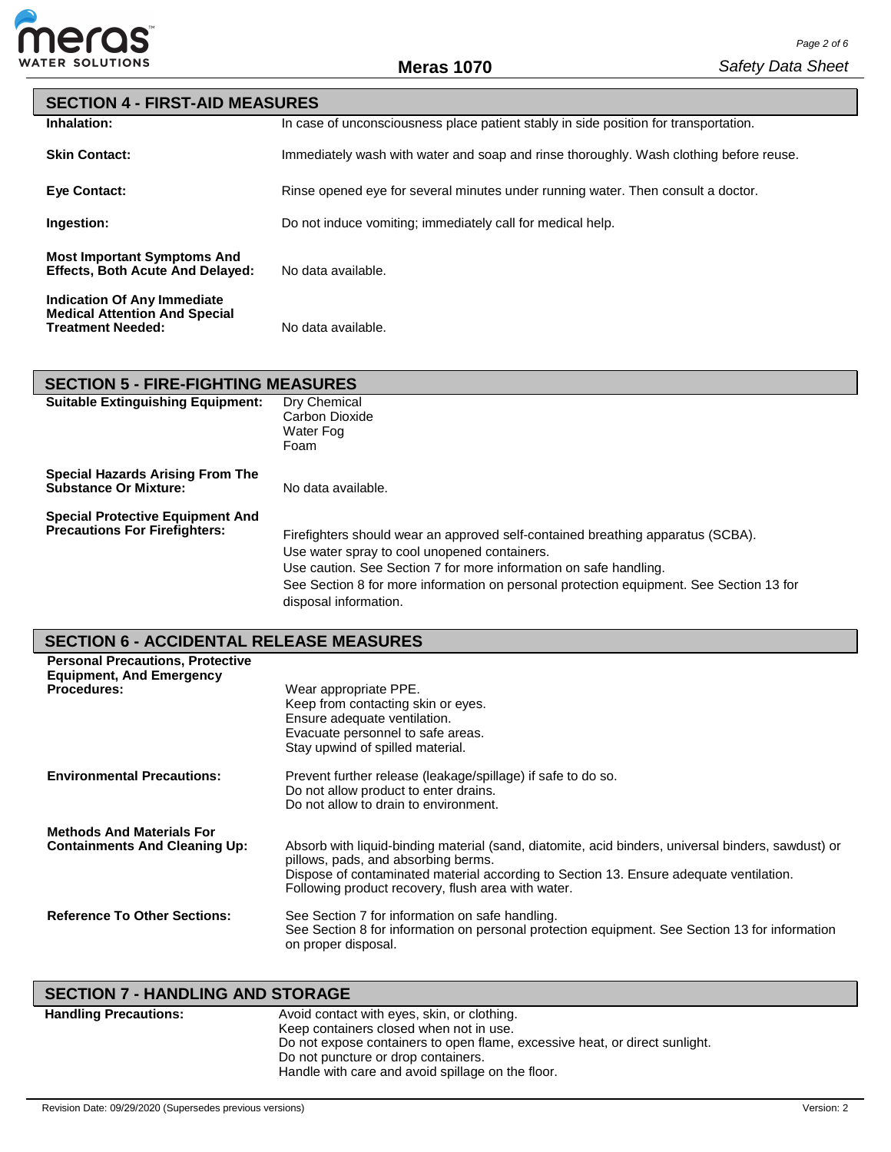

| <b>SECTION 4 - FIRST-AID MEASURES</b>                                                           |                                                                                        |  |
|-------------------------------------------------------------------------------------------------|----------------------------------------------------------------------------------------|--|
| Inhalation:                                                                                     | In case of unconsciousness place patient stably in side position for transportation.   |  |
| <b>Skin Contact:</b>                                                                            | Immediately wash with water and soap and rinse thoroughly. Wash clothing before reuse. |  |
| <b>Eve Contact:</b>                                                                             | Rinse opened eye for several minutes under running water. Then consult a doctor.       |  |
| Ingestion:                                                                                      | Do not induce vomiting; immediately call for medical help.                             |  |
| <b>Most Important Symptoms And</b><br><b>Effects, Both Acute And Delayed:</b>                   | No data available.                                                                     |  |
| Indication Of Any Immediate<br><b>Medical Attention And Special</b><br><b>Treatment Needed:</b> | No data available.                                                                     |  |

# **SECTION 5 - FIRE-FIGHTING MEASURES**

| <b>Suitable Extinguishing Equipment:</b>                                        | Dry Chemical<br>Carbon Dioxide<br>Water Fog<br>Foam                                                                                                                                                                                                                                                                      |
|---------------------------------------------------------------------------------|--------------------------------------------------------------------------------------------------------------------------------------------------------------------------------------------------------------------------------------------------------------------------------------------------------------------------|
| Special Hazards Arising From The<br><b>Substance Or Mixture:</b>                | No data available.                                                                                                                                                                                                                                                                                                       |
| <b>Special Protective Equipment And</b><br><b>Precautions For Firefighters:</b> | Firefighters should wear an approved self-contained breathing apparatus (SCBA).<br>Use water spray to cool unopened containers.<br>Use caution. See Section 7 for more information on safe handling.<br>See Section 8 for more information on personal protection equipment. See Section 13 for<br>disposal information. |

# **SECTION 6 - ACCIDENTAL RELEASE MEASURES**

| <b>Personal Precautions, Protective</b><br><b>Equipment, And Emergency</b><br><b>Procedures:</b> | Wear appropriate PPE.<br>Keep from contacting skin or eyes.<br>Ensure adequate ventilation.<br>Evacuate personnel to safe areas.<br>Stay upwind of spilled material.                                                                                                                      |
|--------------------------------------------------------------------------------------------------|-------------------------------------------------------------------------------------------------------------------------------------------------------------------------------------------------------------------------------------------------------------------------------------------|
| <b>Environmental Precautions:</b>                                                                | Prevent further release (leakage/spillage) if safe to do so.<br>Do not allow product to enter drains.<br>Do not allow to drain to environment.                                                                                                                                            |
| <b>Methods And Materials For</b><br><b>Containments And Cleaning Up:</b>                         | Absorb with liquid-binding material (sand, diatomite, acid binders, universal binders, sawdust) or<br>pillows, pads, and absorbing berms.<br>Dispose of contaminated material according to Section 13. Ensure adequate ventilation.<br>Following product recovery, flush area with water. |
| <b>Reference To Other Sections:</b>                                                              | See Section 7 for information on safe handling.<br>See Section 8 for information on personal protection equipment. See Section 13 for information<br>on proper disposal.                                                                                                                  |

# **SECTION 7 - HANDLING AND STORAGE**

| <b>Handling Precautions:</b> | Avoid contact with eyes, skin, or clothing.<br>Keep containers closed when not in use. |
|------------------------------|----------------------------------------------------------------------------------------|
|                              | Do not expose containers to open flame, excessive heat, or direct sunlight.            |
|                              | Do not puncture or drop containers.                                                    |
|                              | Handle with care and avoid spillage on the floor.                                      |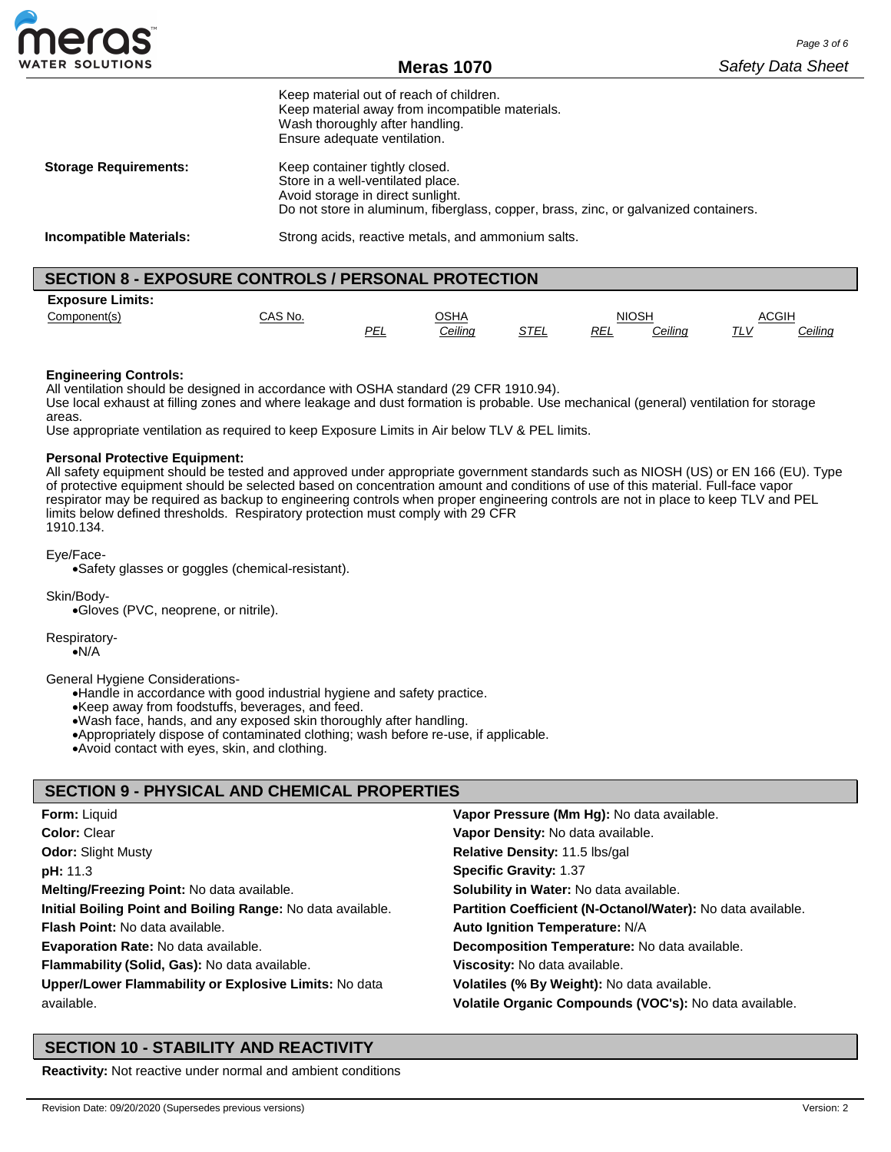

**Meras 1070**

|                                                            | Keep material out of reach of children.<br>Keep material away from incompatible materials.<br>Wash thoroughly after handling.<br>Ensure adequate ventilation.                                    |  |
|------------------------------------------------------------|--------------------------------------------------------------------------------------------------------------------------------------------------------------------------------------------------|--|
| <b>Storage Requirements:</b>                               | Keep container tightly closed.<br>Store in a well-ventilated place.<br>Avoid storage in direct sunlight.<br>Do not store in aluminum, fiberglass, copper, brass, zinc, or galvanized containers. |  |
| <b>Incompatible Materials:</b>                             | Strong acids, reactive metals, and ammonium salts.                                                                                                                                               |  |
| <b>SECTION 8 - EXPOSURE CONTROLS / PERSONAL PROTECTION</b> |                                                                                                                                                                                                  |  |

| <b>Exposure Limits:</b> |         |            |         |      |      |         |              |                |
|-------------------------|---------|------------|---------|------|------|---------|--------------|----------------|
| Component(s)            | CAS No. |            | OSHA    |      |      | NIOSH   | <b>ACGIH</b> |                |
|                         |         | <b>PEL</b> | Ceiling | STEL | REL. | Ceiling | $T^{\prime}$ | <u>Ceiling</u> |

### **Engineering Controls:**

All ventilation should be designed in accordance with OSHA standard (29 CFR 1910.94).

Use local exhaust at filling zones and where leakage and dust formation is probable. Use mechanical (general) ventilation for storage areas.

Use appropriate ventilation as required to keep Exposure Limits in Air below TLV & PEL limits.

### **Personal Protective Equipment:**

All safety equipment should be tested and approved under appropriate government standards such as NIOSH (US) or EN 166 (EU). Type of protective equipment should be selected based on concentration amount and conditions of use of this material. Full-face vapor respirator may be required as backup to engineering controls when proper engineering controls are not in place to keep TLV and PEL limits below defined thresholds. Respiratory protection must comply with 29 CFR 1910.134.

### Eye/Face-

•Safety glasses or goggles (chemical-resistant).

Skin/Body-

•Gloves (PVC, neoprene, or nitrile).

Respiratory-

•N/A

General Hygiene Considerations-

•Handle in accordance with good industrial hygiene and safety practice.

•Keep away from foodstuffs, beverages, and feed.

•Wash face, hands, and any exposed skin thoroughly after handling.

•Appropriately dispose of contaminated clothing; wash before re-use, if applicable.

•Avoid contact with eyes, skin, and clothing.

## **SECTION 9 - PHYSICAL AND CHEMICAL PROPERTIES**

| <b>Form: Liquid</b>                                         | Vapor Pressure (Mm Hg): No data available.                  |
|-------------------------------------------------------------|-------------------------------------------------------------|
| Color: Clear                                                | Vapor Density: No data available.                           |
| <b>Odor: Slight Musty</b>                                   | Relative Density: 11.5 lbs/gal                              |
| <b>pH:</b> 11.3                                             | <b>Specific Gravity: 1.37</b>                               |
| Melting/Freezing Point: No data available.                  | Solubility in Water: No data available.                     |
| Initial Boiling Point and Boiling Range: No data available. | Partition Coefficient (N-Octanol/Water): No data available. |
| <b>Flash Point:</b> No data available.                      | Auto Ignition Temperature: N/A                              |
| <b>Evaporation Rate: No data available.</b>                 | Decomposition Temperature: No data available.               |
| Flammability (Solid, Gas): No data available.               | Viscosity: No data available.                               |
| Upper/Lower Flammability or Explosive Limits: No data       | Volatiles (% By Weight): No data available.                 |
| available.                                                  | Volatile Organic Compounds (VOC's): No data available.      |

## **SECTION 10 - STABILITY AND REACTIVITY**

**Reactivity:** Not reactive under normal and ambient conditions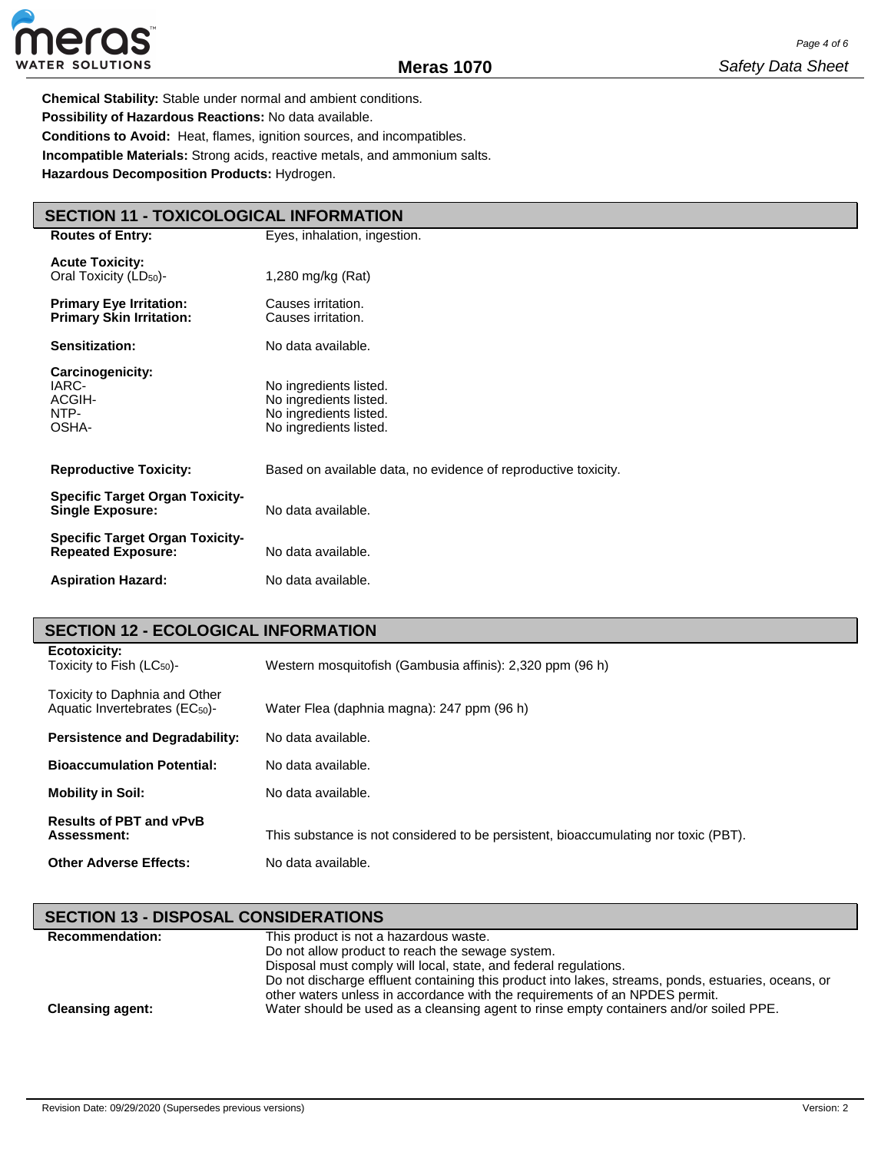

**Chemical Stability:** Stable under normal and ambient conditions. **Possibility of Hazardous Reactions:** No data available. **Conditions to Avoid:** Heat, flames, ignition sources, and incompatibles. **Incompatible Materials:** Strong acids, reactive metals, and ammonium salts. **Hazardous Decomposition Products:** Hydrogen.

# **SECTION 11 - TOXICOLOGICAL INFORMATION**

| <b>Routes of Entry:</b>                                             | Eyes, inhalation, ingestion.                                                                         |  |  |
|---------------------------------------------------------------------|------------------------------------------------------------------------------------------------------|--|--|
| <b>Acute Toxicity:</b><br>Oral Toxicity (LD <sub>50</sub> )-        | 1,280 mg/kg (Rat)                                                                                    |  |  |
| <b>Primary Eye Irritation:</b><br><b>Primary Skin Irritation:</b>   | Causes irritation.<br>Causes irritation.                                                             |  |  |
| Sensitization:                                                      | No data available.                                                                                   |  |  |
| <b>Carcinogenicity:</b><br>IARC-<br>ACGIH-<br>NTP-<br>OSHA-         | No ingredients listed.<br>No ingredients listed.<br>No ingredients listed.<br>No ingredients listed. |  |  |
| <b>Reproductive Toxicity:</b>                                       | Based on available data, no evidence of reproductive toxicity.                                       |  |  |
| <b>Specific Target Organ Toxicity-</b><br><b>Single Exposure:</b>   | No data available.                                                                                   |  |  |
| <b>Specific Target Organ Toxicity-</b><br><b>Repeated Exposure:</b> | No data available.                                                                                   |  |  |
| <b>Aspiration Hazard:</b>                                           | No data available.                                                                                   |  |  |

## **SECTION 12 - ECOLOGICAL INFORMATION**

| Ecotoxicity:<br>Toxicity to Fish $(LC_{50})$ -                              | Western mosquitofish (Gambusia affinis): 2,320 ppm (96 h)                           |
|-----------------------------------------------------------------------------|-------------------------------------------------------------------------------------|
| Toxicity to Daphnia and Other<br>Aquatic Invertebrates (EC <sub>50</sub> )- | Water Flea (daphnia magna): 247 ppm (96 h)                                          |
| <b>Persistence and Degradability:</b>                                       | No data available.                                                                  |
| <b>Bioaccumulation Potential:</b>                                           | No data available.                                                                  |
| <b>Mobility in Soil:</b>                                                    | No data available.                                                                  |
| <b>Results of PBT and vPvB</b><br>Assessment:                               | This substance is not considered to be persistent, bioaccumulating nor toxic (PBT). |
| <b>Other Adverse Effects:</b>                                               | No data available.                                                                  |

| <b>SECTION 13 - DISPOSAL CONSIDERATIONS</b> |                                                                                                                                                                                    |  |  |  |
|---------------------------------------------|------------------------------------------------------------------------------------------------------------------------------------------------------------------------------------|--|--|--|
| <b>Recommendation:</b>                      | This product is not a hazardous waste.                                                                                                                                             |  |  |  |
|                                             | Do not allow product to reach the sewage system.                                                                                                                                   |  |  |  |
|                                             | Disposal must comply will local, state, and federal regulations.                                                                                                                   |  |  |  |
|                                             | Do not discharge effluent containing this product into lakes, streams, ponds, estuaries, oceans, or<br>other waters unless in accordance with the requirements of an NPDES permit. |  |  |  |
| <b>Cleansing agent:</b>                     | Water should be used as a cleansing agent to rinse empty containers and/or soiled PPE.                                                                                             |  |  |  |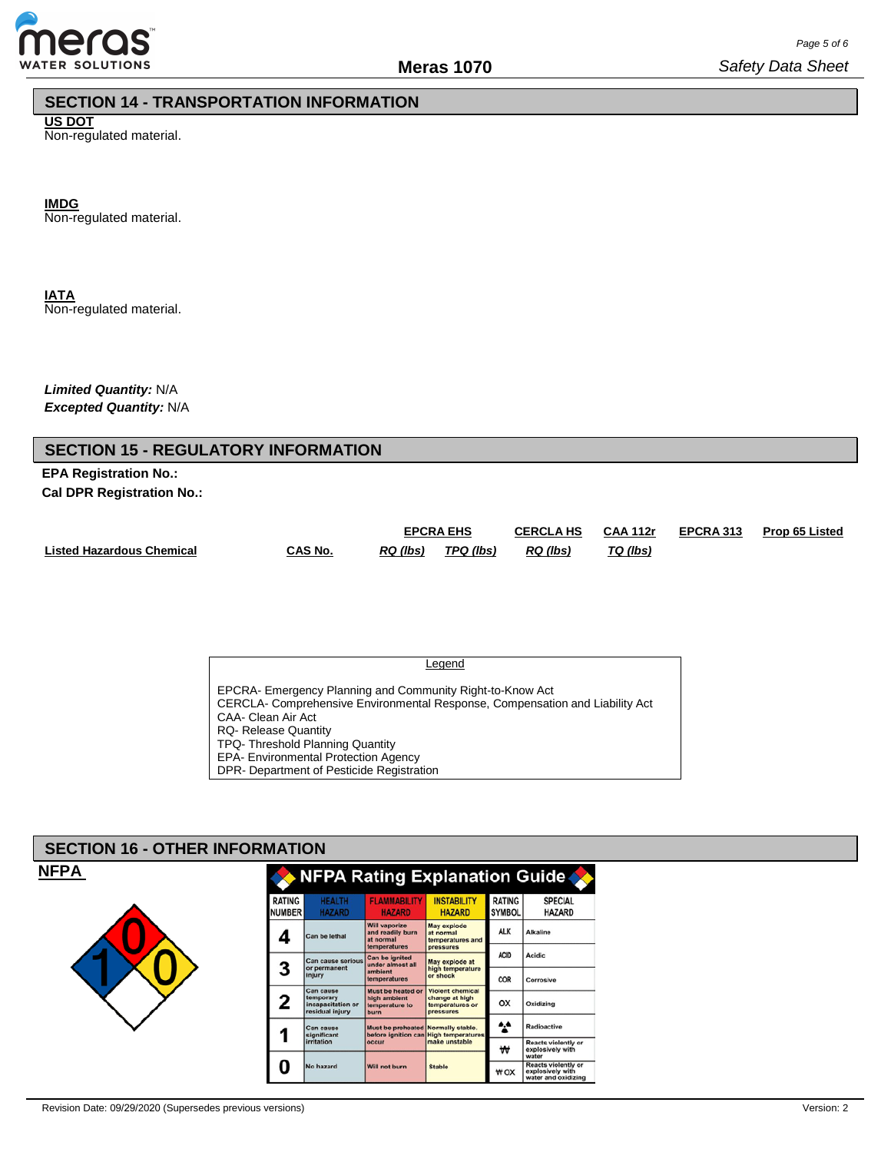

# **SECTION 14 - TRANSPORTATION INFORMATION**

**US DOT** Non-regulated material.

**IMDG**

Non-regulated material.

**IATA** Non-regulated material.

*Limited Quantity:* N/A *Excepted Quantity:* N/A

**EPA Registration No.: Cal DPR Registration No.:**

|                                  |         | <b>EPCRA EHS</b> |           | <b>CERCLA HS</b> | <b>CAA 112r</b> | <b>EPCRA 313</b> | <b>Prop 65 Listed</b> |
|----------------------------------|---------|------------------|-----------|------------------|-----------------|------------------|-----------------------|
| <b>Listed Hazardous Chemical</b> | CAS No. | RQ (lbs)         | TPQ (lbs) | RQ (lbs)         | TQ (lbs)        |                  |                       |

**Legend** 

EPCRA- Emergency Planning and Community Right-to-Know Act CERCLA- Comprehensive Environmental Response, Compensation and Liability Act CAA- Clean Air Act RQ- Release Quantity TPQ- Threshold Planning Quantity EPA- Environmental Protection Agency DPR- Department of Pesticide Registration